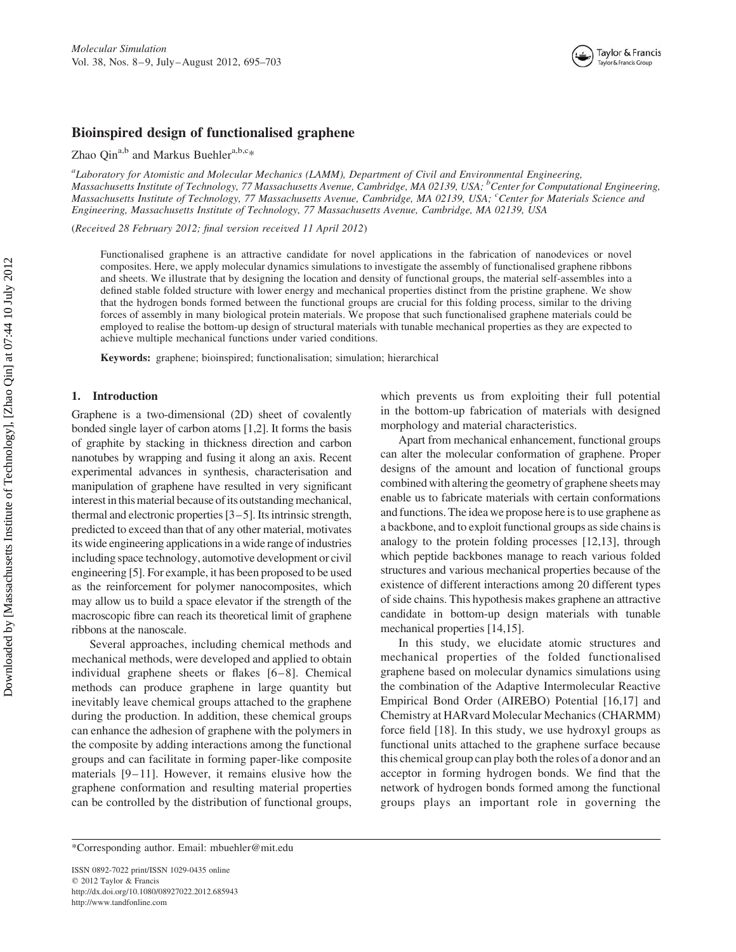# Bioinspired design of functionalised graphene

Zhao  $\text{Oin}^{a,b}$  and Markus Buehler<sup>a,b,c</sup>\*

<sup>a</sup>Laboratory for Atomistic and Molecular Mechanics (LAMM), Department of Civil and Environmental Engineering, Massachusetts Institute of Technology, 77 Massachusetts Avenue, Cambridge, MA 02139, USA; <sup>b</sup>Center for Computational Engineering, Massachusetts Institute of Technology, 77 Massachusetts Avenue, Cambridge, MA 02139, USA; <sup>c</sup>Center for Materials Science and Engineering, Massachusetts Institute of Technology, 77 Massachusetts Avenue, Cambridge, MA 02139, USA

(Received 28 February 2012; final version received 11 April 2012)

Functionalised graphene is an attractive candidate for novel applications in the fabrication of nanodevices or novel composites. Here, we apply molecular dynamics simulations to investigate the assembly of functionalised graphene ribbons and sheets. We illustrate that by designing the location and density of functional groups, the material self-assembles into a defined stable folded structure with lower energy and mechanical properties distinct from the pristine graphene. We show that the hydrogen bonds formed between the functional groups are crucial for this folding process, similar to the driving forces of assembly in many biological protein materials. We propose that such functionalised graphene materials could be employed to realise the bottom-up design of structural materials with tunable mechanical properties as they are expected to achieve multiple mechanical functions under varied conditions.

Keywords: graphene; bioinspired; functionalisation; simulation; hierarchical

# 1. Introduction

Graphene is a two-dimensional (2D) sheet of covalently bonded single layer of carbon atoms [1,2]. It forms the basis of graphite by stacking in thickness direction and carbon nanotubes by wrapping and fusing it along an axis. Recent experimental advances in synthesis, characterisation and manipulation of graphene have resulted in very significant interest in this material because of its outstanding mechanical, thermal and electronic properties [3–5]. Its intrinsic strength, predicted to exceed than that of any other material, motivates its wide engineering applications in a wide range of industries including space technology, automotive development or civil engineering [5]. For example, it has been proposed to be used as the reinforcement for polymer nanocomposites, which may allow us to build a space elevator if the strength of the macroscopic fibre can reach its theoretical limit of graphene ribbons at the nanoscale.

Several approaches, including chemical methods and mechanical methods, were developed and applied to obtain individual graphene sheets or flakes [6-8]. Chemical methods can produce graphene in large quantity but inevitably leave chemical groups attached to the graphene during the production. In addition, these chemical groups can enhance the adhesion of graphene with the polymers in the composite by adding interactions among the functional groups and can facilitate in forming paper-like composite materials  $[9-11]$ . However, it remains elusive how the graphene conformation and resulting material properties can be controlled by the distribution of functional groups,

Apart from mechanical enhancement, functional groups can alter the molecular conformation of graphene. Proper designs of the amount and location of functional groups combined with altering the geometry of graphene sheets may enable us to fabricate materials with certain conformations and functions. The idea we propose here is to use graphene as a backbone, and to exploit functional groups as side chains is analogy to the protein folding processes [12,13], through which peptide backbones manage to reach various folded structures and various mechanical properties because of the existence of different interactions among 20 different types of side chains. This hypothesis makes graphene an attractive candidate in bottom-up design materials with tunable mechanical properties [14,15].

In this study, we elucidate atomic structures and mechanical properties of the folded functionalised graphene based on molecular dynamics simulations using the combination of the Adaptive Intermolecular Reactive Empirical Bond Order (AIREBO) Potential [16,17] and Chemistry at HARvard Molecular Mechanics (CHARMM) force field [18]. In this study, we use hydroxyl groups as functional units attached to the graphene surface because this chemical group can play both the roles of a donor and an acceptor in forming hydrogen bonds. We find that the network of hydrogen bonds formed among the functional groups plays an important role in governing the

ISSN 0892-7022 print/ISSN 1029-0435 online  $Q$  2012 Taylor & Francis <http://dx.doi.org/10.1080/08927022.2012.685943> <http://www.tandfonline.com>

which prevents us from exploiting their full potential in the bottom-up fabrication of materials with designed morphology and material characteristics.

<sup>\*</sup>Corresponding author. Email: mbuehler@mit.edu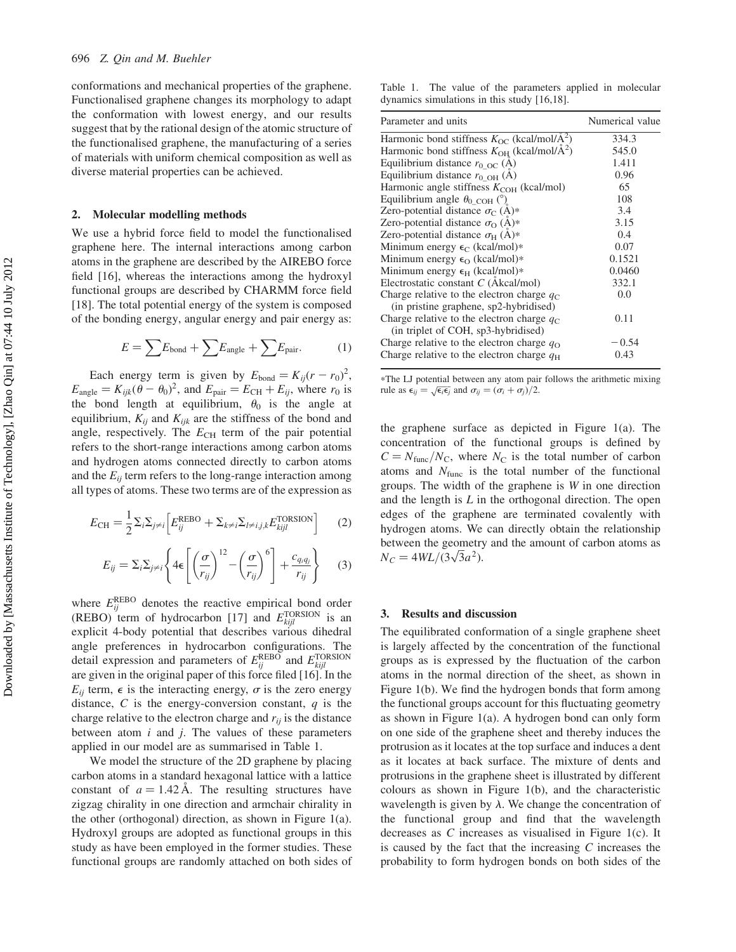conformations and mechanical properties of the graphene. Functionalised graphene changes its morphology to adapt the conformation with lowest energy, and our results suggest that by the rational design of the atomic structure of the functionalised graphene, the manufacturing of a series of materials with uniform chemical composition as well as diverse material properties can be achieved.

#### 2. Molecular modelling methods

We use a hybrid force field to model the functionalised graphene here. The internal interactions among carbon atoms in the graphene are described by the AIREBO force field [16], whereas the interactions among the hydroxyl functional groups are described by CHARMM force field [18]. The total potential energy of the system is composed of the bonding energy, angular energy and pair energy as:

$$
E = \sum E_{\text{bond}} + \sum E_{\text{angle}} + \sum E_{\text{pair}}.
$$
 (1)

Each energy term is given by  $E_{\text{bond}} = K_{ij}(r - r_0)^2$ ,  $E_{\text{angle}} = K_{ijk}(\theta - \theta_0)^2$ , and  $E_{\text{pair}} = E_{\text{CH}} + E_{ij}$ , where  $r_0$  is the bond length at equilibrium,  $\theta_0$  is the angle at equilibrium,  $K_{ij}$  and  $K_{ijk}$  are the stiffness of the bond and angle, respectively. The  $E_{\text{CH}}$  term of the pair potential refers to the short-range interactions among carbon atoms and hydrogen atoms connected directly to carbon atoms and the  $E_{ij}$  term refers to the long-range interaction among all types of atoms. These two terms are of the expression as

$$
E_{\rm CH} = \frac{1}{2} \Sigma_i \Sigma_{j \neq i} \left[ E_{ij}^{\rm REBO} + \Sigma_{k \neq i} \Sigma_{l \neq i,j,k} E_{kijl}^{\rm TORSION} \right]
$$
 (2)

$$
E_{ij} = \sum_{i} \sum_{j \neq i} \left\{ 4\epsilon \left[ \left( \frac{\sigma}{r_{ij}} \right)^{12} - \left( \frac{\sigma}{r_{ij}} \right)^{6} \right] + \frac{c_{q_i q_j}}{r_{ij}} \right\} \tag{3}
$$

where  $E_{ij}^{\text{REBO}}$  denotes the reactive empirical bond order (REBO) term of hydrocarbon [17] and  $E_{kijl}^{TORSION}$  is an explicit 4-body potential that describes various dihedral angle preferences in hydrocarbon configurations. The detail expression and parameters of  $E_{ij}^{\text{REBO}}$  and  $E_{kijl}^{\text{TORSION}}$ are given in the original paper of this force filed [16]. In the  $E_{ij}$  term,  $\epsilon$  is the interacting energy,  $\sigma$  is the zero energy distance,  $C$  is the energy-conversion constant,  $q$  is the charge relative to the electron charge and  $r_{ij}$  is the distance between atom  $i$  and  $j$ . The values of these parameters applied in our model are as summarised in Table 1.

We model the structure of the 2D graphene by placing carbon atoms in a standard hexagonal lattice with a lattice constant of  $a = 1.42$  Å. The resulting structures have zigzag chirality in one direction and armchair chirality in the other (orthogonal) direction, as shown in Figure 1(a). Hydroxyl groups are adopted as functional groups in this study as have been employed in the former studies. These functional groups are randomly attached on both sides of

Table 1. The value of the parameters applied in molecular dynamics simulations in this study [16,18].

| Parameter and units                                  | Numerical value |
|------------------------------------------------------|-----------------|
| Harmonic bond stiffness $K_{OC}$ (kcal/mol/ $A^2$ )  | 334.3           |
| Harmonic bond stiffness $K_{OH}$ (kcal/mol/ $A^2$ )  | 545.0           |
| Equilibrium distance $r_0$ <sub>OC</sub> (A)         | 1.411           |
| Equilibrium distance $r_0$ <sub>OH</sub> (A)         | 0.96            |
| Harmonic angle stiffness $K_{\text{COH}}$ (kcal/mol) | 65              |
| Equilibrium angle $\theta_{0\text{\_COH}}$ (°)       | 108             |
| Zero-potential distance $\sigma_{\rm C}$ (A)*        | 3.4             |
| Zero-potential distance $\sigma_{\rm O}$ (A)*        | 3.15            |
| Zero-potential distance $\sigma_{\rm H}$ (A)*        | 0.4             |
| Minimum energy $\epsilon_C$ (kcal/mol)*              | 0.07            |
| Minimum energy $\epsilon_0$ (kcal/mol)*              | 0.1521          |
| Minimum energy $\epsilon_H$ (kcal/mol)*              | 0.0460          |
| Electrostatic constant $C$ (Akcal/mol)               | 332.1           |
| Charge relative to the electron charge $q_c$         | 0.0             |
| (in pristine graphene, sp2-hybridised)               |                 |
| Charge relative to the electron charge $q_C$         | 0.11            |
| (in triplet of COH, sp3-hybridised)                  |                 |
| Charge relative to the electron charge $q_0$         | $-0.54$         |
| Charge relative to the electron charge $q_H$         | 0.43            |
|                                                      |                 |

\*The LJ potential between any atom pair follows the arithmetic mixing rule as  $\epsilon_{ij} = \sqrt{\epsilon_i \epsilon_j}$  and  $\sigma_{ij} = (\sigma_i + \sigma_j)/2$ .

the graphene surface as depicted in Figure 1(a). The concentration of the functional groups is defined by  $C = N_{\text{func}}/N_{\text{C}}$ , where  $N_{\text{C}}$  is the total number of carbon atoms and  $N_{\text{func}}$  is the total number of the functional groups. The width of the graphene is W in one direction and the length is  $L$  in the orthogonal direction. The open edges of the graphene are terminated covalently with hydrogen atoms. We can directly obtain the relationship between the geometry and the amount of carbon atoms as between the geometry<br> $N_C = 4WL/(3\sqrt{3}a^2)$ .

# 3. Results and discussion

The equilibrated conformation of a single graphene sheet is largely affected by the concentration of the functional groups as is expressed by the fluctuation of the carbon atoms in the normal direction of the sheet, as shown in Figure 1(b). We find the hydrogen bonds that form among the functional groups account for this fluctuating geometry as shown in Figure 1(a). A hydrogen bond can only form on one side of the graphene sheet and thereby induces the protrusion as it locates at the top surface and induces a dent as it locates at back surface. The mixture of dents and protrusions in the graphene sheet is illustrated by different colours as shown in Figure 1(b), and the characteristic wavelength is given by  $\lambda$ . We change the concentration of the functional group and find that the wavelength decreases as C increases as visualised in Figure 1(c). It is caused by the fact that the increasing  $C$  increases the probability to form hydrogen bonds on both sides of the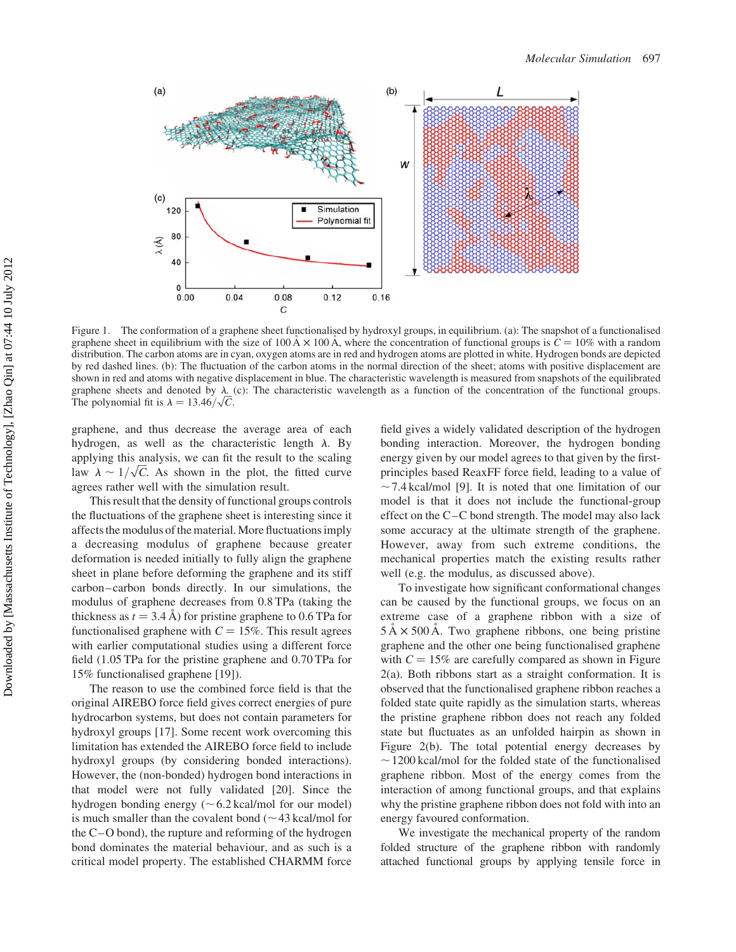

Figure 1. The conformation of a graphene sheet functionalised by hydroxyl groups, in equilibrium. (a): The snapshot of a functionalised graphene sheet in equilibrium with the size of 100 Å  $\times$  100 Å, where the concentration of functional groups is  $C = 10\%$  with a random distribution. The carbon atoms are in cyan, oxygen atoms are in red and hydrogen atoms are plotted in white. Hydrogen bonds are depicted by red dashed lines. (b): The fluctuation of the carbon atoms in the normal direction of the sheet; atoms with positive displacement are shown in red and atoms with negative displacement in blue. The characteristic wavelength is measured from snapshots of the equilibrated graphene sheets and denoted by  $\lambda$ . (c): The characteristic wavelength as a function of the concentration of the functional groups. graphene sheets and denoted by  $\lambda$ .<br>The polynomial fit is  $\lambda = 13.46/\sqrt{C}$ .

graphene, and thus decrease the average area of each hydrogen, as well as the characteristic length  $\lambda$ . By applying this analysis, we can fit the result to the scaling applying this analysis, we can fit the result to the scaling<br>law  $\lambda \sim 1/\sqrt{C}$ . As shown in the plot, the fitted curve agrees rather well with the simulation result.

This result that the density of functional groups controls the fluctuations of the graphene sheet is interesting since it affects the modulus of the material. More fluctuations imply a decreasing modulus of graphene because greater deformation is needed initially to fully align the graphene sheet in plane before deforming the graphene and its stiff carbon–carbon bonds directly. In our simulations, the modulus of graphene decreases from 0.8 TPa (taking the thickness as  $t = 3.4 \text{ Å}$  for pristine graphene to 0.6 TPa for functionalised graphene with  $C = 15\%$ . This result agrees with earlier computational studies using a different force field (1.05 TPa for the pristine graphene and 0.70 TPa for 15% functionalised graphene [19]).

The reason to use the combined force field is that the original AIREBO force field gives correct energies of pure hydrocarbon systems, but does not contain parameters for hydroxyl groups [17]. Some recent work overcoming this limitation has extended the AIREBO force field to include hydroxyl groups (by considering bonded interactions). However, the (non-bonded) hydrogen bond interactions in that model were not fully validated [20]. Since the hydrogen bonding energy  $(\sim 6.2 \text{ kcal/mol}$  for our model) is much smaller than the covalent bond  $(\sim 43 \text{ kcal/mol}$  for the  $C$  – O bond), the rupture and reforming of the hydrogen bond dominates the material behaviour, and as such is a critical model property. The established CHARMM force field gives a widely validated description of the hydrogen bonding interaction. Moreover, the hydrogen bonding energy given by our model agrees to that given by the firstprinciples based ReaxFF force field, leading to a value of  $\sim$  7.4 kcal/mol [9]. It is noted that one limitation of our model is that it does not include the functional-group effect on the C–C bond strength. The model may also lack some accuracy at the ultimate strength of the graphene. However, away from such extreme conditions, the mechanical properties match the existing results rather well (e.g. the modulus, as discussed above).

To investigate how significant conformational changes can be caused by the functional groups, we focus on an extreme case of a graphene ribbon with a size of  $5 \text{ Å} \times 500 \text{ Å}$ . Two graphene ribbons, one being pristine graphene and the other one being functionalised graphene with  $C = 15\%$  are carefully compared as shown in Figure 2(a). Both ribbons start as a straight conformation. It is observed that the functionalised graphene ribbon reaches a folded state quite rapidly as the simulation starts, whereas the pristine graphene ribbon does not reach any folded state but fluctuates as an unfolded hairpin as shown in Figure 2(b). The total potential energy decreases by  $\sim$ 1200 kcal/mol for the folded state of the functionalised graphene ribbon. Most of the energy comes from the interaction of among functional groups, and that explains why the pristine graphene ribbon does not fold with into an energy favoured conformation.

We investigate the mechanical property of the random folded structure of the graphene ribbon with randomly attached functional groups by applying tensile force in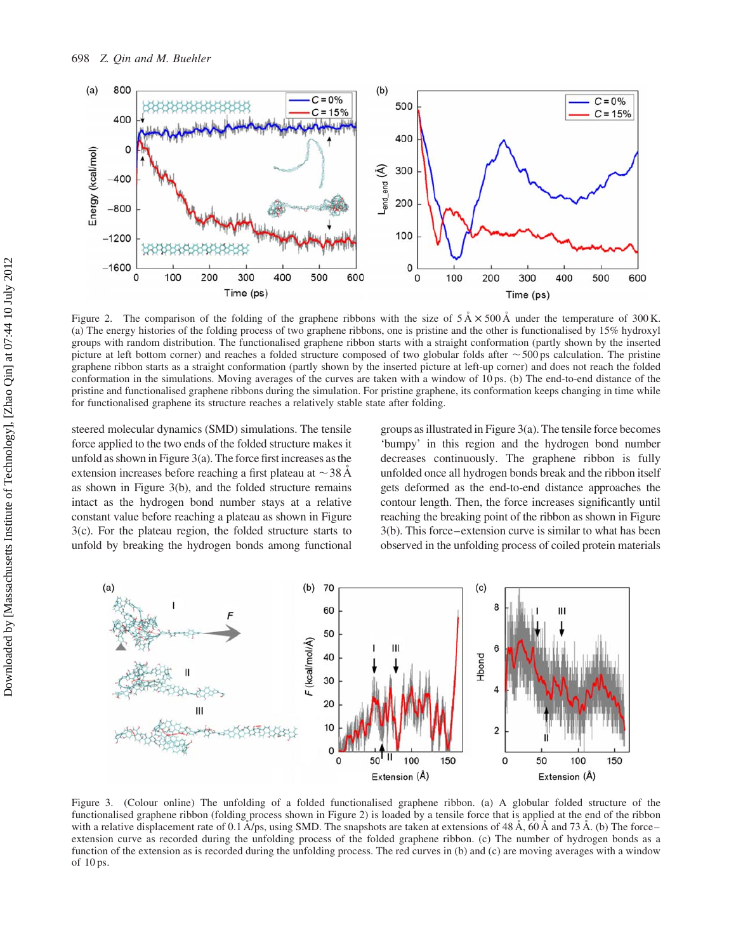

Figure 2. The comparison of the folding of the graphene ribbons with the size of  $5 \AA \times 500 \AA$  under the temperature of 300 K. (a) The energy histories of the folding process of two graphene ribbons, one is pristine and the other is functionalised by 15% hydroxyl groups with random distribution. The functionalised graphene ribbon starts with a straight conformation (partly shown by the inserted picture at left bottom corner) and reaches a folded structure composed of two globular folds after  $\sim$  500 ps calculation. The pristine graphene ribbon starts as a straight conformation (partly shown by the inserted picture at left-up corner) and does not reach the folded conformation in the simulations. Moving averages of the curves are taken with a window of 10 ps. (b) The end-to-end distance of the pristine and functionalised graphene ribbons during the simulation. For pristine graphene, its conformation keeps changing in time while for functionalised graphene its structure reaches a relatively stable state after folding.

steered molecular dynamics (SMD) simulations. The tensile force applied to the two ends of the folded structure makes it unfold as shown in Figure 3(a). The force first increases as the extension increases before reaching a first plateau at  $\sim$  38 Å as shown in Figure 3(b), and the folded structure remains intact as the hydrogen bond number stays at a relative constant value before reaching a plateau as shown in Figure 3(c). For the plateau region, the folded structure starts to unfold by breaking the hydrogen bonds among functional groups as illustrated in Figure 3(a). The tensile force becomes 'bumpy' in this region and the hydrogen bond number decreases continuously. The graphene ribbon is fully unfolded once all hydrogen bonds break and the ribbon itself gets deformed as the end-to-end distance approaches the contour length. Then, the force increases significantly until reaching the breaking point of the ribbon as shown in Figure 3(b). This force–extension curve is similar to what has been observed in the unfolding process of coiled protein materials



Figure 3. (Colour online) The unfolding of a folded functionalised graphene ribbon. (a) A globular folded structure of the functionalised graphene ribbon (folding process shown in Figure 2) is loaded by a tensile force that is applied at the end of the ribbon with a relative displacement rate of 0.1 A/ps, using SMD. The snapshots are taken at extensions of 48 A, 60 A and 73 A. (b) The force – extension curve as recorded during the unfolding process of the folded graphene ribbon. (c) The number of hydrogen bonds as a function of the extension as is recorded during the unfolding process. The red curves in (b) and (c) are moving averages with a window of 10 ps.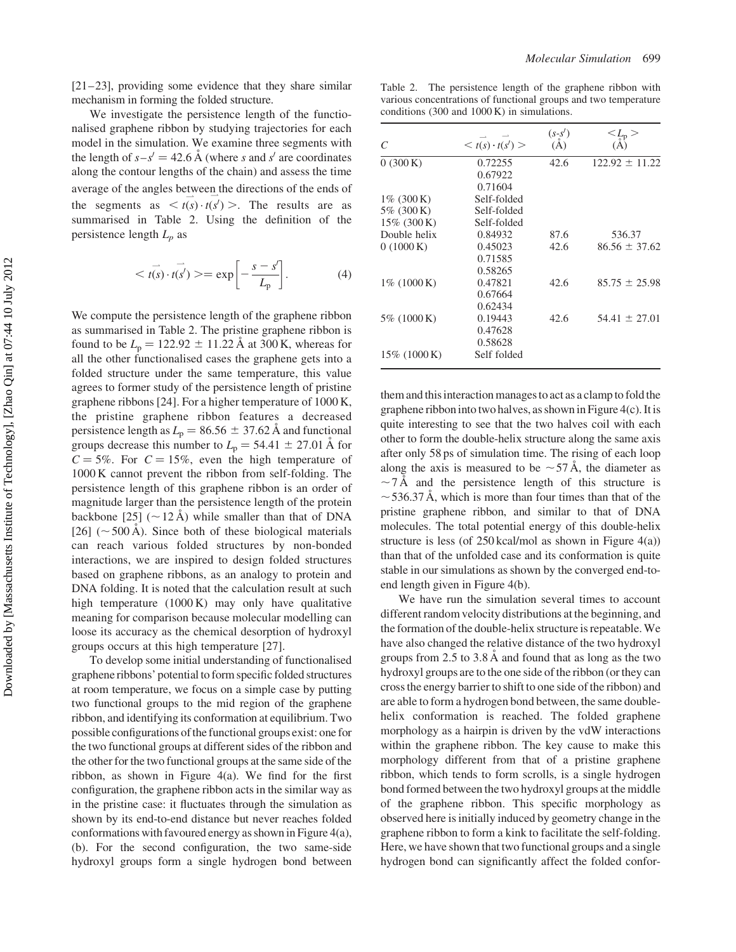[21–23], providing some evidence that they share similar mechanism in forming the folded structure.

We investigate the persistence length of the functionalised graphene ribbon by studying trajectories for each model in the simulation. We examine three segments with the length of  $s-s' = 42.6 \text{ Å}$  (where s and s' are coordinates along the contour lengths of the chain) and assess the time average of the angles between the directions of the ends of the segments as  $\langle t(s) \cdot t(s') \rangle$ . The results are as summarised in Table 2. Using the definition of the persistence length  $L_p$  as

$$
\langle \overrightarrow{t(s)} \cdot \overrightarrow{t(s')} \rangle = \exp\left[-\frac{s-s'}{L_p}\right].\tag{4}
$$

We compute the persistence length of the graphene ribbon as summarised in Table 2. The pristine graphene ribbon is found to be  $L_p = 122.92 \pm 11.22 \text{ Å}$  at 300 K, whereas for all the other functionalised cases the graphene gets into a folded structure under the same temperature, this value agrees to former study of the persistence length of pristine graphene ribbons [24]. For a higher temperature of 1000 K, the pristine graphene ribbon features a decreased persistence length as  $L_p = 86.56 \pm 37.62$  Å and functional groups decrease this number to  $L_p = 54.41 \pm 27.01$  Å for  $C = 5\%$ . For  $C = 15\%$ , even the high temperature of 1000 K cannot prevent the ribbon from self-folding. The persistence length of this graphene ribbon is an order of magnitude larger than the persistence length of the protein backbone [25]  $(\sim 12 \text{ Å})$  while smaller than that of DNA [26] ( $\sim$  500 Å). Since both of these biological materials can reach various folded structures by non-bonded interactions, we are inspired to design folded structures based on graphene ribbons, as an analogy to protein and DNA folding. It is noted that the calculation result at such high temperature (1000 K) may only have qualitative meaning for comparison because molecular modelling can loose its accuracy as the chemical desorption of hydroxyl groups occurs at this high temperature [27].

To develop some initial understanding of functionalised graphene ribbons' potential to form specific folded structures at room temperature, we focus on a simple case by putting two functional groups to the mid region of the graphene ribbon, and identifying its conformation at equilibrium. Two possible configurations of the functional groups exist: one for the two functional groups at different sides of the ribbon and the other for the two functional groups at the same side of the ribbon, as shown in Figure 4(a). We find for the first configuration, the graphene ribbon acts in the similar way as in the pristine case: it fluctuates through the simulation as shown by its end-to-end distance but never reaches folded conformations with favoured energy as shown in Figure 4(a), (b). For the second configuration, the two same-side hydroxyl groups form a single hydrogen bond between

Table 2. The persistence length of the graphene ribbon with various concentrations of functional groups and two temperature conditions (300 and 1000 K) in simulations.

| C              | $\langle \overline{t(s)} \cdot t(s') \rangle$ | $(s-s')$<br>$(\dot{A})$ | $< L_{\rm p} >$<br>(A) |
|----------------|-----------------------------------------------|-------------------------|------------------------|
| 0(300K)        | 0.72255                                       | 42.6                    | $122.92 \pm 11.22$     |
|                | 0.67922                                       |                         |                        |
|                | 0.71604                                       |                         |                        |
| $1\%$ (300 K)  | Self-folded                                   |                         |                        |
| 5\% (300 K)    | Self-folded                                   |                         |                        |
| 15% (300K)     | Self-folded                                   |                         |                        |
| Double helix   | 0.84932                                       | 87.6                    | 536.37                 |
| 0(1000K)       | 0.45023                                       | 42.6                    | $86.56 \pm 37.62$      |
|                | 0.71585                                       |                         |                        |
|                | 0.58265                                       |                         |                        |
| $1\%$ (1000 K) | 0.47821                                       | 42.6                    | $85.75 \pm 25.98$      |
|                | 0.67664                                       |                         |                        |
|                | 0.62434                                       |                         |                        |
| 5% (1000K)     | 0.19443                                       | 42.6                    | $54.41 \pm 27.01$      |
|                | 0.47628                                       |                         |                        |
|                | 0.58628                                       |                         |                        |
| 15\% (1000 K)  | Self folded                                   |                         |                        |

them and this interaction manages to act as a clamp to fold the graphene ribboninto two halves, as shown in Figure 4(c). Itis quite interesting to see that the two halves coil with each other to form the double-helix structure along the same axis after only 58 ps of simulation time. The rising of each loop along the axis is measured to be  $\sim$  57 Å, the diameter as  $\sim$  7 Å and the persistence length of this structure is  $\sim$  536.37 Å, which is more than four times than that of the pristine graphene ribbon, and similar to that of DNA molecules. The total potential energy of this double-helix structure is less (of 250 kcal/mol as shown in Figure 4(a)) than that of the unfolded case and its conformation is quite stable in our simulations as shown by the converged end-toend length given in Figure 4(b).

We have run the simulation several times to account different random velocity distributions at the beginning, and the formation of the double-helix structure is repeatable. We have also changed the relative distance of the two hydroxyl groups from  $2.5$  to  $3.8$  Å and found that as long as the two hydroxyl groups are to the one side of the ribbon (or they can cross the energy barrier to shift to one side of the ribbon) and are able to form a hydrogen bond between, the same doublehelix conformation is reached. The folded graphene morphology as a hairpin is driven by the vdW interactions within the graphene ribbon. The key cause to make this morphology different from that of a pristine graphene ribbon, which tends to form scrolls, is a single hydrogen bond formed between the two hydroxyl groups at the middle of the graphene ribbon. This specific morphology as observed here is initially induced by geometry change in the graphene ribbon to form a kink to facilitate the self-folding. Here, we have shown that two functional groups and a single hydrogen bond can significantly affect the folded confor-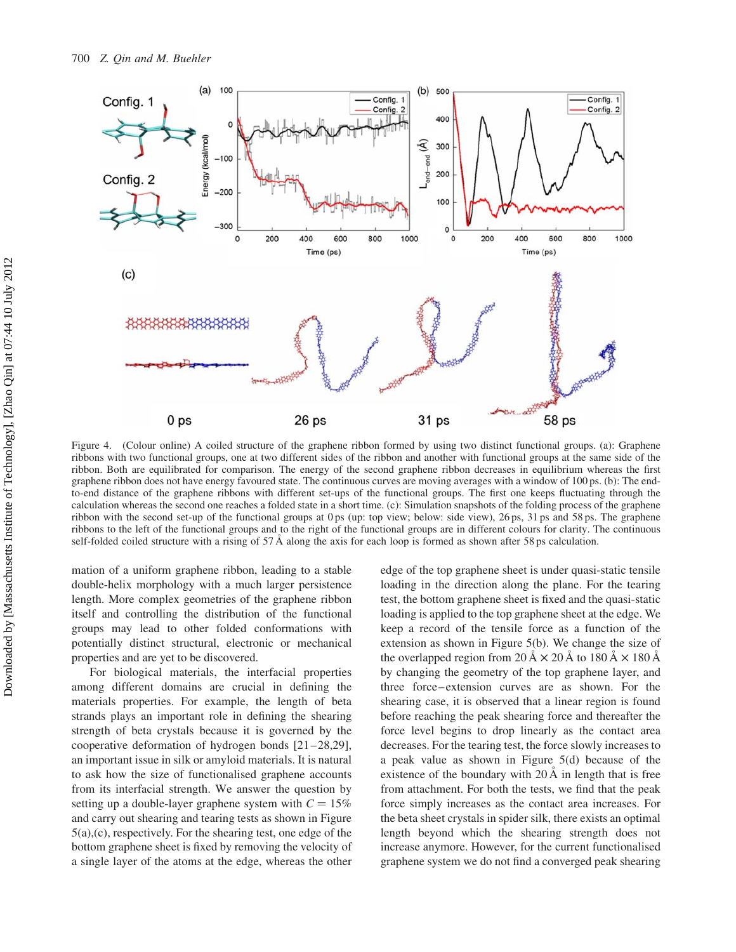

Figure 4. (Colour online) A coiled structure of the graphene ribbon formed by using two distinct functional groups. (a): Graphene ribbons with two functional groups, one at two different sides of the ribbon and another with functional groups at the same side of the ribbon. Both are equilibrated for comparison. The energy of the second graphene ribbon decreases in equilibrium whereas the first graphene ribbon does not have energy favoured state. The continuous curves are moving averages with a window of 100 ps. (b): The endto-end distance of the graphene ribbons with different set-ups of the functional groups. The first one keeps fluctuating through the calculation whereas the second one reaches a folded state in a short time. (c): Simulation snapshots of the folding process of the graphene ribbon with the second set-up of the functional groups at 0 ps (up: top view; below: side view), 26 ps, 31 ps and 58 ps. The graphene ribbons to the left of the functional groups and to the right of the functional groups are in different colours for clarity. The continuous self-folded coiled structure with a rising of  $57 \text{ Å}$  along the axis for each loop is formed as shown after  $58 \text{ ps}$  calculation.

mation of a uniform graphene ribbon, leading to a stable double-helix morphology with a much larger persistence length. More complex geometries of the graphene ribbon itself and controlling the distribution of the functional groups may lead to other folded conformations with potentially distinct structural, electronic or mechanical properties and are yet to be discovered.

For biological materials, the interfacial properties among different domains are crucial in defining the materials properties. For example, the length of beta strands plays an important role in defining the shearing strength of beta crystals because it is governed by the cooperative deformation of hydrogen bonds [21 –28,29], an important issue in silk or amyloid materials. It is natural to ask how the size of functionalised graphene accounts from its interfacial strength. We answer the question by setting up a double-layer graphene system with  $C = 15\%$ and carry out shearing and tearing tests as shown in Figure 5(a),(c), respectively. For the shearing test, one edge of the bottom graphene sheet is fixed by removing the velocity of a single layer of the atoms at the edge, whereas the other edge of the top graphene sheet is under quasi-static tensile loading in the direction along the plane. For the tearing test, the bottom graphene sheet is fixed and the quasi-static loading is applied to the top graphene sheet at the edge. We keep a record of the tensile force as a function of the extension as shown in Figure 5(b). We change the size of the overlapped region from 20  $\AA \times 20 \AA$  to 180  $\AA \times 180 \AA$ by changing the geometry of the top graphene layer, and three force–extension curves are as shown. For the shearing case, it is observed that a linear region is found before reaching the peak shearing force and thereafter the force level begins to drop linearly as the contact area decreases. For the tearing test, the force slowly increases to a peak value as shown in Figure 5(d) because of the existence of the boundary with  $20 \text{ Å}$  in length that is free from attachment. For both the tests, we find that the peak force simply increases as the contact area increases. For the beta sheet crystals in spider silk, there exists an optimal length beyond which the shearing strength does not increase anymore. However, for the current functionalised graphene system we do not find a converged peak shearing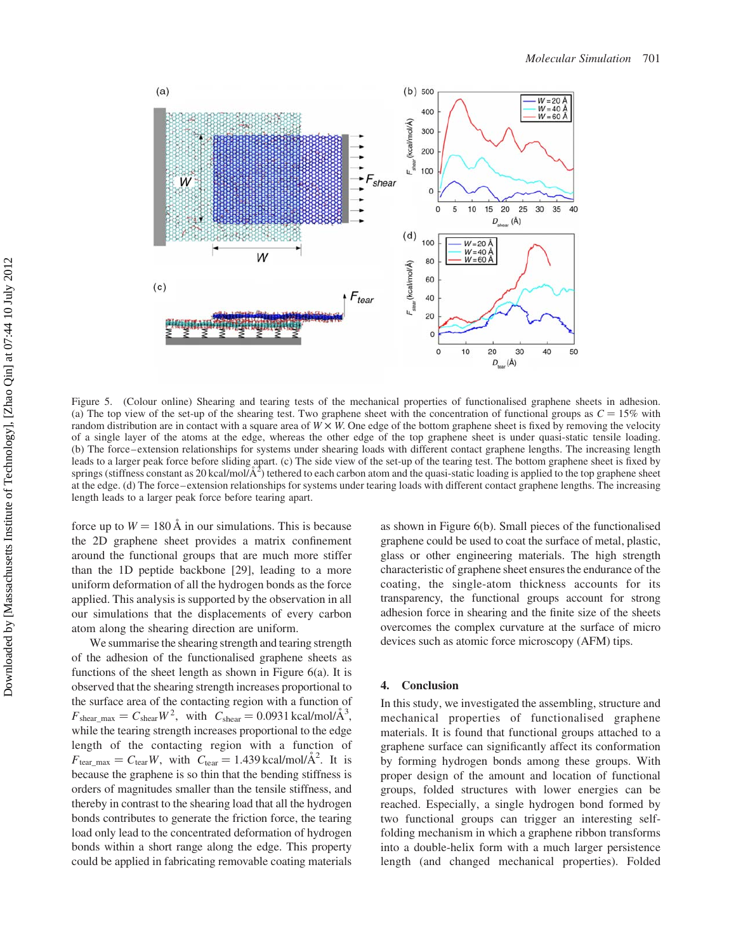

Figure 5. (Colour online) Shearing and tearing tests of the mechanical properties of functionalised graphene sheets in adhesion. (a) The top view of the set-up of the shearing test. Two graphene sheet with the concentration of functional groups as  $C = 15\%$  with random distribution are in contact with a square area of  $W \times W$ . One edge of the bottom graphene sheet is fixed by removing the velocity of a single layer of the atoms at the edge, whereas the other edge of the top graphene sheet is under quasi-static tensile loading. (b) The force–extension relationships for systems under shearing loads with different contact graphene lengths. The increasing length leads to a larger peak force before sliding apart. (c) The side view of the set-up of the tearing test. The bottom graphene sheet is fixed by springs (stiffness constant as 20 kcal/mol/ $A^2$ ) tethered to each carbon atom and the quasi-static loading is applied to the top graphene sheet at the edge. (d) The force–extension relationships for systems under tearing loads with different contact graphene lengths. The increasing length leads to a larger peak force before tearing apart.

force up to  $W = 180 \text{ Å}$  in our simulations. This is because the 2D graphene sheet provides a matrix confinement around the functional groups that are much more stiffer than the 1D peptide backbone [29], leading to a more uniform deformation of all the hydrogen bonds as the force applied. This analysis is supported by the observation in all our simulations that the displacements of every carbon atom along the shearing direction are uniform.

We summarise the shearing strength and tearing strength of the adhesion of the functionalised graphene sheets as functions of the sheet length as shown in Figure  $6(a)$ . It is observed that the shearing strength increases proportional to the surface area of the contacting region with a function of  $F_{\text{shear\_max}} = C_{\text{shear}} W^2$ , with  $C_{\text{shear}} = 0.0931 \text{ kcal/mol/A}^3$ , while the tearing strength increases proportional to the edge length of the contacting region with a function of  $F_{\text{tear\_max}} = C_{\text{tear}}W$ , with  $C_{\text{tear}} = 1.439 \text{ kcal/mol/A}^2$ . It is because the graphene is so thin that the bending stiffness is orders of magnitudes smaller than the tensile stiffness, and thereby in contrast to the shearing load that all the hydrogen bonds contributes to generate the friction force, the tearing load only lead to the concentrated deformation of hydrogen bonds within a short range along the edge. This property could be applied in fabricating removable coating materials

as shown in Figure 6(b). Small pieces of the functionalised graphene could be used to coat the surface of metal, plastic, glass or other engineering materials. The high strength characteristic of graphene sheet ensures the endurance of the coating, the single-atom thickness accounts for its transparency, the functional groups account for strong adhesion force in shearing and the finite size of the sheets overcomes the complex curvature at the surface of micro devices such as atomic force microscopy (AFM) tips.

# 4. Conclusion

In this study, we investigated the assembling, structure and mechanical properties of functionalised graphene materials. It is found that functional groups attached to a graphene surface can significantly affect its conformation by forming hydrogen bonds among these groups. With proper design of the amount and location of functional groups, folded structures with lower energies can be reached. Especially, a single hydrogen bond formed by two functional groups can trigger an interesting selffolding mechanism in which a graphene ribbon transforms into a double-helix form with a much larger persistence length (and changed mechanical properties). Folded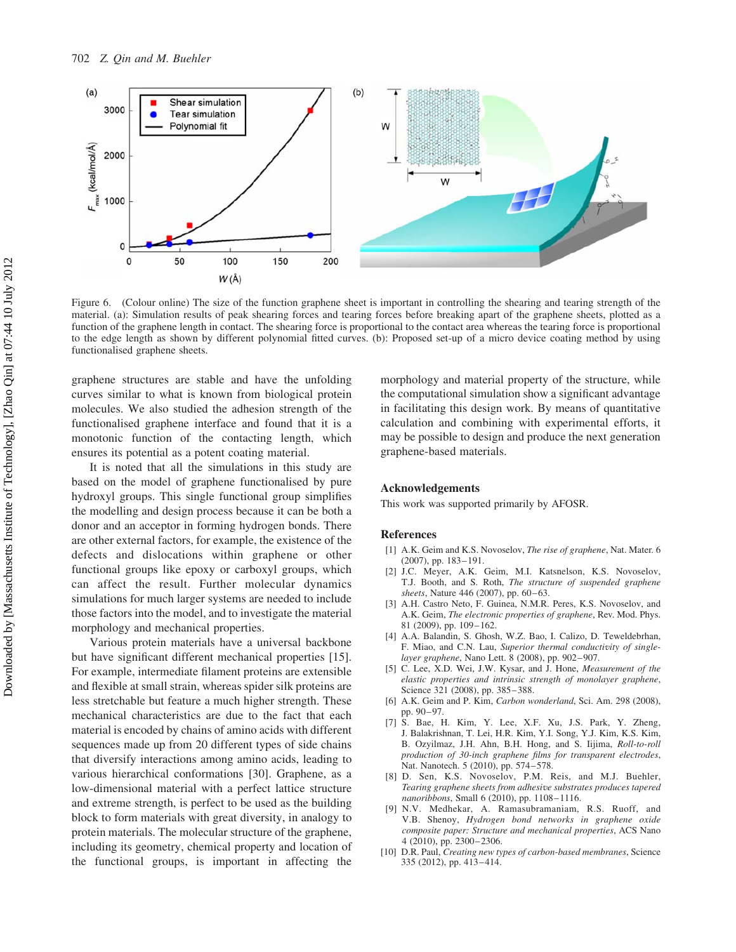

Figure 6. (Colour online) The size of the function graphene sheet is important in controlling the shearing and tearing strength of the material. (a): Simulation results of peak shearing forces and tearing forces before breaking apart of the graphene sheets, plotted as a function of the graphene length in contact. The shearing force is proportional to the contact area whereas the tearing force is proportional to the edge length as shown by different polynomial fitted curves. (b): Proposed set-up of a micro device coating method by using functionalised graphene sheets.

graphene structures are stable and have the unfolding curves similar to what is known from biological protein molecules. We also studied the adhesion strength of the functionalised graphene interface and found that it is a monotonic function of the contacting length, which ensures its potential as a potent coating material.

It is noted that all the simulations in this study are based on the model of graphene functionalised by pure hydroxyl groups. This single functional group simplifies the modelling and design process because it can be both a donor and an acceptor in forming hydrogen bonds. There are other external factors, for example, the existence of the defects and dislocations within graphene or other functional groups like epoxy or carboxyl groups, which can affect the result. Further molecular dynamics simulations for much larger systems are needed to include those factors into the model, and to investigate the material morphology and mechanical properties.

Various protein materials have a universal backbone but have significant different mechanical properties [15]. For example, intermediate filament proteins are extensible and flexible at small strain, whereas spider silk proteins are less stretchable but feature a much higher strength. These mechanical characteristics are due to the fact that each material is encoded by chains of amino acids with different sequences made up from 20 different types of side chains that diversify interactions among amino acids, leading to various hierarchical conformations [30]. Graphene, as a low-dimensional material with a perfect lattice structure and extreme strength, is perfect to be used as the building block to form materials with great diversity, in analogy to protein materials. The molecular structure of the graphene, including its geometry, chemical property and location of the functional groups, is important in affecting the morphology and material property of the structure, while the computational simulation show a significant advantage in facilitating this design work. By means of quantitative calculation and combining with experimental efforts, it may be possible to design and produce the next generation graphene-based materials.

### Acknowledgements

This work was supported primarily by AFOSR.

## References

- [1] A.K. Geim and K.S. Novoselov, The rise of graphene, Nat. Mater. 6 (2007), pp. 183–191.
- [2] J.C. Meyer, A.K. Geim, M.I. Katsnelson, K.S. Novoselov, T.J. Booth, and S. Roth, *The structure of suspended graphene* sheets, Nature 446 (2007), pp. 60–63.
- [3] A.H. Castro Neto, F. Guinea, N.M.R. Peres, K.S. Novoselov, and A.K. Geim, The electronic properties of graphene, Rev. Mod. Phys. 81 (2009), pp. 109–162.
- [4] A.A. Balandin, S. Ghosh, W.Z. Bao, I. Calizo, D. Teweldebrhan, F. Miao, and C.N. Lau, Superior thermal conductivity of singlelayer graphene, Nano Lett. 8 (2008), pp. 902–907.
- [5] C. Lee, X.D. Wei, J.W. Kysar, and J. Hone, Measurement of the elastic properties and intrinsic strength of monolayer graphene, Science 321 (2008), pp. 385–388.
- [6] A.K. Geim and P. Kim, Carbon wonderland, Sci. Am. 298 (2008), pp. 90–97.
- [7] S. Bae, H. Kim, Y. Lee, X.F. Xu, J.S. Park, Y. Zheng, J. Balakrishnan, T. Lei, H.R. Kim, Y.I. Song, Y.J. Kim, K.S. Kim, B. Ozyilmaz, J.H. Ahn, B.H. Hong, and S. Iijima, Roll-to-roll production of 30-inch graphene films for transparent electrodes, Nat. Nanotech. 5 (2010), pp. 574–578.
- [8] D. Sen, K.S. Novoselov, P.M. Reis, and M.J. Buehler, Tearing graphene sheets from adhesive substrates produces tapered nanoribbons, Small 6 (2010), pp. 1108–1116.
- [9] N.V. Medhekar, A. Ramasubramaniam, R.S. Ruoff, and V.B. Shenoy, Hydrogen bond networks in graphene oxide composite paper: Structure and mechanical properties, ACS Nano 4 (2010), pp. 2300–2306.
- [10] D.R. Paul, Creating new types of carbon-based membranes, Science 335 (2012), pp. 413–414.